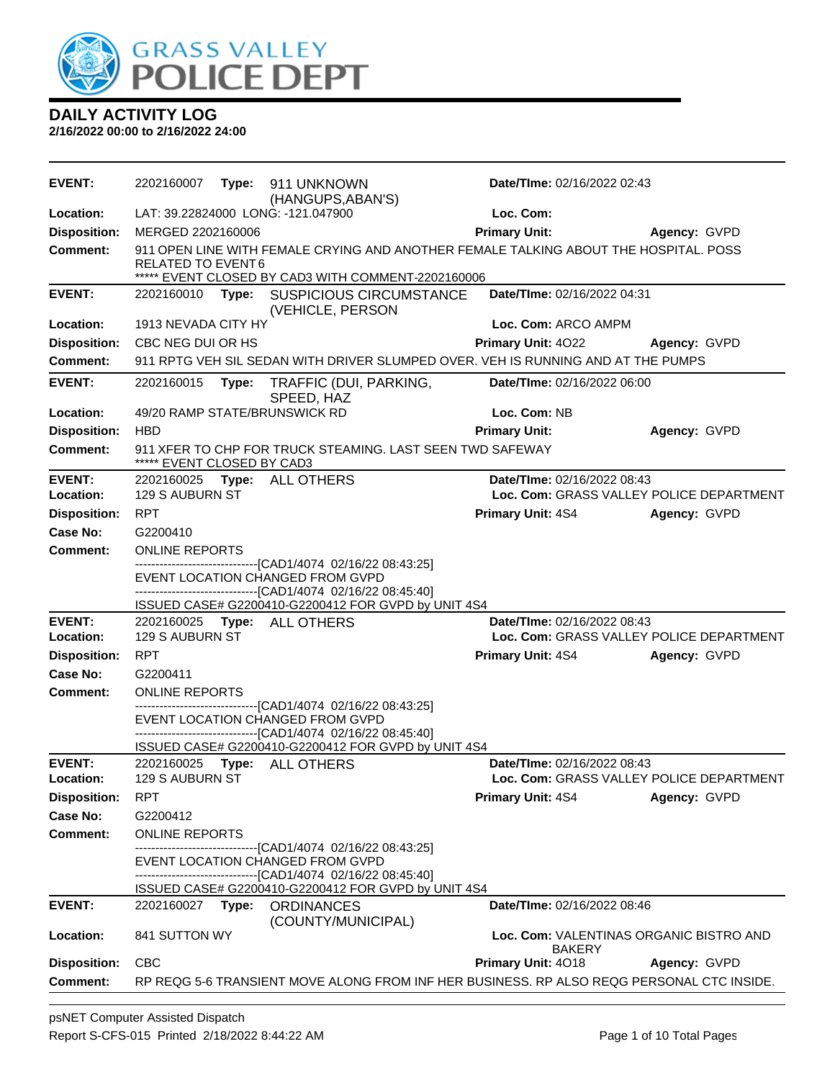

**2/16/2022 00:00 to 2/16/2022 24:00**

| <b>EVENT:</b>              | 2202160007                 | Type: | 911 UNKNOWN<br>(HANGUPS, ABAN'S)                                                                                                                                | Date/TIme: 02/16/2022 02:43 |                                          |
|----------------------------|----------------------------|-------|-----------------------------------------------------------------------------------------------------------------------------------------------------------------|-----------------------------|------------------------------------------|
| Location:                  |                            |       | LAT: 39.22824000 LONG: -121.047900                                                                                                                              | Loc. Com:                   |                                          |
| <b>Disposition:</b>        | MERGED 2202160006          |       |                                                                                                                                                                 | <b>Primary Unit:</b>        | Agency: GVPD                             |
| <b>Comment:</b>            | RELATED TO EVENT6          |       | 911 OPEN LINE WITH FEMALE CRYING AND ANOTHER FEMALE TALKING ABOUT THE HOSPITAL. POSS<br>***** EVENT CLOSED BY CAD3 WITH COMMENT-2202160006                      |                             |                                          |
| <b>EVENT:</b>              | 2202160010 Type:           |       | <b>SUSPICIOUS CIRCUMSTANCE</b><br>(VEHICLE, PERSON                                                                                                              | Date/TIme: 02/16/2022 04:31 |                                          |
| Location:                  | 1913 NEVADA CITY HY        |       |                                                                                                                                                                 | Loc. Com: ARCO AMPM         |                                          |
| <b>Disposition:</b>        | CBC NEG DUI OR HS          |       |                                                                                                                                                                 | Primary Unit: 4022          | Agency: GVPD                             |
| Comment:                   |                            |       | 911 RPTG VEH SIL SEDAN WITH DRIVER SLUMPED OVER. VEH IS RUNNING AND AT THE PUMPS                                                                                |                             |                                          |
| <b>EVENT:</b>              | 2202160015                 | Type: | TRAFFIC (DUI, PARKING,<br>SPEED, HAZ                                                                                                                            | Date/TIme: 02/16/2022 06:00 |                                          |
| Location:                  |                            |       | 49/20 RAMP STATE/BRUNSWICK RD                                                                                                                                   | Loc. Com: NB                |                                          |
| <b>Disposition:</b>        | <b>HBD</b>                 |       |                                                                                                                                                                 | <b>Primary Unit:</b>        | Agency: GVPD                             |
| <b>Comment:</b>            | ***** EVENT CLOSED BY CAD3 |       | 911 XFER TO CHP FOR TRUCK STEAMING. LAST SEEN TWD SAFEWAY                                                                                                       |                             |                                          |
| <b>EVENT:</b>              |                            |       | 2202160025    Type: ALL OTHERS                                                                                                                                  | Date/TIme: 02/16/2022 08:43 |                                          |
| Location:                  | 129 S AUBURN ST            |       |                                                                                                                                                                 |                             | Loc. Com: GRASS VALLEY POLICE DEPARTMENT |
| <b>Disposition:</b>        | <b>RPT</b>                 |       |                                                                                                                                                                 | <b>Primary Unit: 4S4</b>    | Agency: GVPD                             |
| <b>Case No:</b>            | G2200410                   |       |                                                                                                                                                                 |                             |                                          |
| <b>Comment:</b>            | <b>ONLINE REPORTS</b>      |       |                                                                                                                                                                 |                             |                                          |
|                            |                            |       | ------------------------------[CAD1/4074_02/16/22_08:43:25]<br>EVENT LOCATION CHANGED FROM GVPD<br>-------------------------------[CAD1/4074 02/16/22 08:45:40] |                             |                                          |
| <b>EVENT:</b>              |                            |       | ISSUED CASE# G2200410-G2200412 FOR GVPD by UNIT 4S4<br>2202160025 Type: ALL OTHERS                                                                              | Date/TIme: 02/16/2022 08:43 |                                          |
| Location:                  | 129 S AUBURN ST            |       |                                                                                                                                                                 |                             | Loc. Com: GRASS VALLEY POLICE DEPARTMENT |
| <b>Disposition:</b>        | <b>RPT</b>                 |       |                                                                                                                                                                 | <b>Primary Unit: 4S4</b>    | Agency: GVPD                             |
| Case No:                   | G2200411                   |       |                                                                                                                                                                 |                             |                                          |
| <b>Comment:</b>            | <b>ONLINE REPORTS</b>      |       |                                                                                                                                                                 |                             |                                          |
|                            |                            |       | -------------------------[CAD1/4074_02/16/22_08:43:25]<br>EVENT LOCATION CHANGED FROM GVPD<br>-------------------------------[CAD1/4074 02/16/22 08:45:40]      |                             |                                          |
|                            |                            |       | ISSUED CASE# G2200410-G2200412 FOR GVPD by UNIT 4S4                                                                                                             |                             |                                          |
| <b>EVENT:</b><br>Location: | 129 S AUBURN ST            |       | 2202160025    Type: ALL OTHERS                                                                                                                                  | Date/TIme: 02/16/2022 08:43 | Loc. Com: GRASS VALLEY POLICE DEPARTMENT |
| <b>Disposition:</b>        | <b>RPT</b>                 |       |                                                                                                                                                                 | <b>Primary Unit: 4S4</b>    | Agency: GVPD                             |
| Case No:                   | G2200412                   |       |                                                                                                                                                                 |                             |                                          |
| Comment:                   | <b>ONLINE REPORTS</b>      |       |                                                                                                                                                                 |                             |                                          |
|                            |                            |       | --------------------------------[CAD1/4074_02/16/22_08:43:25]<br>EVENT LOCATION CHANGED FROM GVPD                                                               |                             |                                          |
|                            |                            |       | ------------------------------[CAD1/4074_02/16/22_08:45:40]<br>ISSUED CASE# G2200410-G2200412 FOR GVPD by UNIT 4S4                                              |                             |                                          |
| <b>EVENT:</b>              |                            |       | 2202160027 Type: ORDINANCES<br>(COUNTY/MUNICIPAL)                                                                                                               | Date/TIme: 02/16/2022 08:46 |                                          |
| Location:                  | 841 SUTTON WY              |       |                                                                                                                                                                 | <b>BAKERY</b>               | Loc. Com: VALENTINAS ORGANIC BISTRO AND  |
| <b>Disposition:</b>        | CBC                        |       |                                                                                                                                                                 | <b>Primary Unit: 4018</b>   | Agency: GVPD                             |
| Comment:                   |                            |       | RP REQG 5-6 TRANSIENT MOVE ALONG FROM INF HER BUSINESS. RP ALSO REQG PERSONAL CTC INSIDE.                                                                       |                             |                                          |
|                            |                            |       |                                                                                                                                                                 |                             |                                          |

psNET Computer Assisted Dispatch Report S-CFS-015 Printed 2/18/2022 8:44:22 AM Page 1 of 10 Total Pages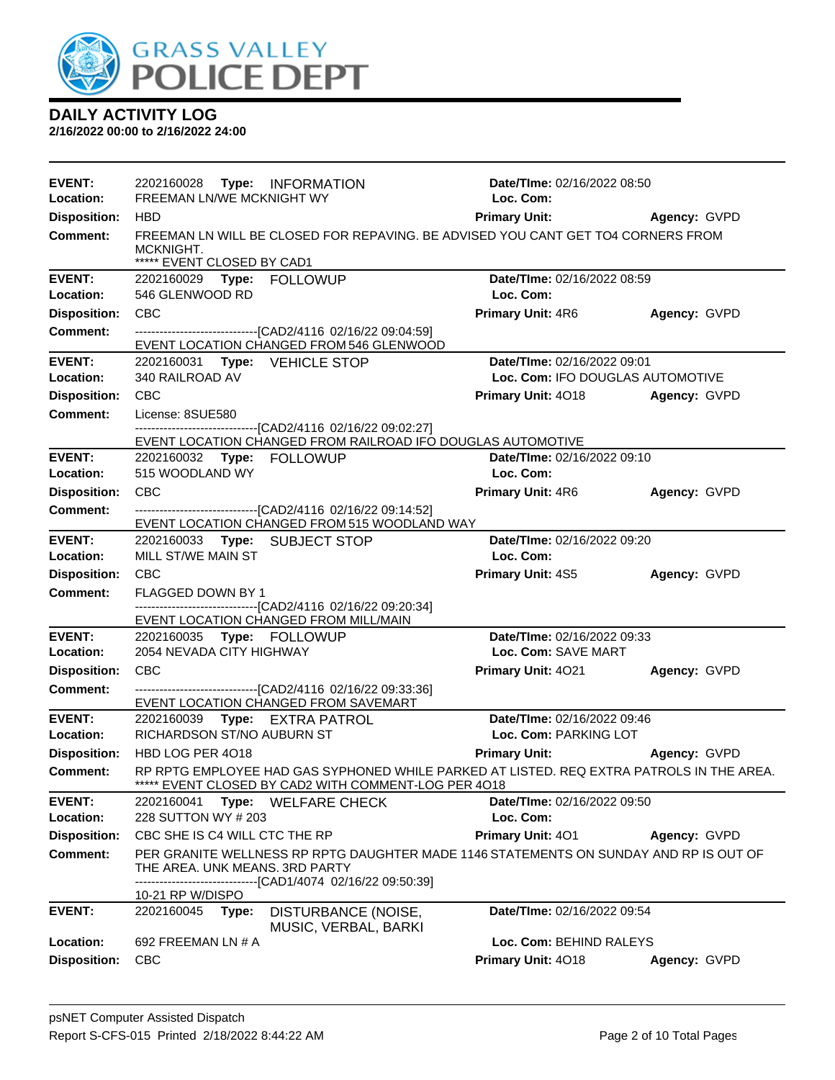

| <b>EVENT:</b><br>Location: | 2202160028 Type: INFORMATION<br>FREEMAN LN/WE MCKNIGHT WY                                                                                                                        | Date/TIme: 02/16/2022 08:50<br>Loc. Com:                                                                               |                     |
|----------------------------|----------------------------------------------------------------------------------------------------------------------------------------------------------------------------------|------------------------------------------------------------------------------------------------------------------------|---------------------|
| <b>Disposition:</b>        | <b>HBD</b>                                                                                                                                                                       | Primary Unit: Agency: GVPD                                                                                             |                     |
| <b>Comment:</b>            | FREEMAN LN WILL BE CLOSED FOR REPAVING. BE ADVISED YOU CANT GET TO4 CORNERS FROM                                                                                                 |                                                                                                                        |                     |
|                            | MCKNIGHT.                                                                                                                                                                        |                                                                                                                        |                     |
|                            | ***** EVENT CLOSED BY CAD1                                                                                                                                                       |                                                                                                                        |                     |
| <b>EVENT:</b>              |                                                                                                                                                                                  | Date/TIme: 02/16/2022 08:59                                                                                            |                     |
| Location:                  | 546 GLENWOOD RD                                                                                                                                                                  | Loc. Com:                                                                                                              |                     |
| <b>Disposition:</b>        | <b>CBC</b>                                                                                                                                                                       | <b>Primary Unit: 4R6</b>                                                                                               | Agency: GVPD        |
| <b>Comment:</b>            | ---------------------------------[CAD2/4116 02/16/22 09:04:59]<br>EVENT LOCATION CHANGED FROM 546 GLENWOOD                                                                       |                                                                                                                        |                     |
| <b>EVENT:</b>              | 2202160031 Type: VEHICLE STOP                                                                                                                                                    | Date/TIme: 02/16/2022 09:01                                                                                            |                     |
| Location:                  | 340 RAILROAD AV                                                                                                                                                                  | Loc. Com: IFO DOUGLAS AUTOMOTIVE                                                                                       |                     |
| <b>Disposition:</b>        | CBC                                                                                                                                                                              | <b>Primary Unit: 4018</b>                                                                                              | Agency: GVPD        |
| <b>Comment:</b>            | License: 8SUE580                                                                                                                                                                 |                                                                                                                        |                     |
|                            | -------------------------------[CAD2/4116 02/16/22 09:02:27]                                                                                                                     |                                                                                                                        |                     |
| <b>EVENT:</b>              | EVENT LOCATION CHANGED FROM RAILROAD IFO DOUGLAS AUTOMOTIVE<br>2202160032 Type: FOLLOWUP                                                                                         | Date/TIme: 02/16/2022 09:10                                                                                            |                     |
| Location:                  | 515 WOODLAND WY                                                                                                                                                                  | Loc. Com:                                                                                                              |                     |
| <b>Disposition:</b>        | <b>CBC</b>                                                                                                                                                                       | <b>Primary Unit: 4R6</b>                                                                                               | Agency: GVPD        |
| <b>Comment:</b>            |                                                                                                                                                                                  |                                                                                                                        |                     |
|                            | EVENT LOCATION CHANGED FROM 515 WOODLAND WAY                                                                                                                                     |                                                                                                                        |                     |
| <b>EVENT:</b>              | 2202160033 Type: SUBJECT STOP                                                                                                                                                    | Date/TIme: 02/16/2022 09:20                                                                                            |                     |
| Location:                  | MILL ST/WE MAIN ST                                                                                                                                                               | Loc. Com:                                                                                                              |                     |
| <b>Disposition:</b>        | <b>CBC</b>                                                                                                                                                                       | <b>Primary Unit: 4S5</b>                                                                                               | Agency: GVPD        |
| <b>Comment:</b>            | FLAGGED DOWN BY 1                                                                                                                                                                |                                                                                                                        |                     |
|                            | -------------------------------[CAD2/4116 02/16/22 09:20:34]<br>EVENT LOCATION CHANGED FROM MILL/MAIN                                                                            |                                                                                                                        |                     |
| <b>EVENT:</b>              | 2202160035 Type: FOLLOWUP                                                                                                                                                        | Date/TIme: 02/16/2022 09:33                                                                                            |                     |
| Location:                  | 2054 NEVADA CITY HIGHWAY                                                                                                                                                         | Loc. Com: SAVE MART                                                                                                    |                     |
| <b>Disposition:</b>        | <b>CBC</b>                                                                                                                                                                       | <b>Primary Unit: 4021</b>                                                                                              | <b>Agency: GVPD</b> |
| <b>Comment:</b>            | --------------------------------[CAD2/4116 02/16/22 09:33:36]                                                                                                                    |                                                                                                                        |                     |
|                            | EVENT LOCATION CHANGED FROM SAVEMART                                                                                                                                             |                                                                                                                        |                     |
| <b>EVENT:</b><br>Location: | 2202160039 Type: EXTRA PATROL<br><b>RICHARDSON ST/NO AUBURN ST</b>                                                                                                               | Date/TIme: 02/16/2022 09:46<br>Loc. Com: PARKING LOT                                                                   |                     |
|                            | HBD LOG PER 4018                                                                                                                                                                 |                                                                                                                        |                     |
| <b>Disposition:</b>        | RP RPTG EMPLOYEE HAD GAS SYPHONED WHILE PARKED AT LISTED. REQ EXTRA PATROLS IN THE AREA.                                                                                         | <b>Primary Unit:</b> Primary Primary Primary Primary Primary Primary Primary Primary Primary Primary Primary Primary P | Agency: GVPD        |
| <b>Comment:</b>            | EVENT CLOSED BY CAD2 WITH COMMENT-LOG PER 4018                                                                                                                                   |                                                                                                                        |                     |
| <b>EVENT:</b>              | 2202160041<br>Type:<br><b>WELFARE CHECK</b>                                                                                                                                      | Date/TIme: 02/16/2022 09:50                                                                                            |                     |
| Location:                  | 228 SUTTON WY # 203                                                                                                                                                              | Loc. Com:                                                                                                              |                     |
| <b>Disposition:</b>        | CBC SHE IS C4 WILL CTC THE RP                                                                                                                                                    | Primary Unit: 401                                                                                                      | Agency: GVPD        |
| <b>Comment:</b>            | PER GRANITE WELLNESS RP RPTG DAUGHTER MADE 1146 STATEMENTS ON SUNDAY AND RP IS OUT OF<br>THE AREA. UNK MEANS. 3RD PARTY<br>------------------------[CAD1/4074_02/16/22 09:50:39] |                                                                                                                        |                     |
|                            | 10-21 RP W/DISPO                                                                                                                                                                 |                                                                                                                        |                     |
| <b>EVENT:</b>              | 2202160045<br>DISTURBANCE (NOISE,<br>Type:<br>MUSIC, VERBAL, BARKI                                                                                                               | Date/TIme: 02/16/2022 09:54                                                                                            |                     |
| Location:                  | 692 FREEMAN LN # A                                                                                                                                                               | Loc. Com: BEHIND RALEYS                                                                                                |                     |
| <b>Disposition:</b>        | <b>CBC</b>                                                                                                                                                                       | Primary Unit: 4018                                                                                                     | Agency: GVPD        |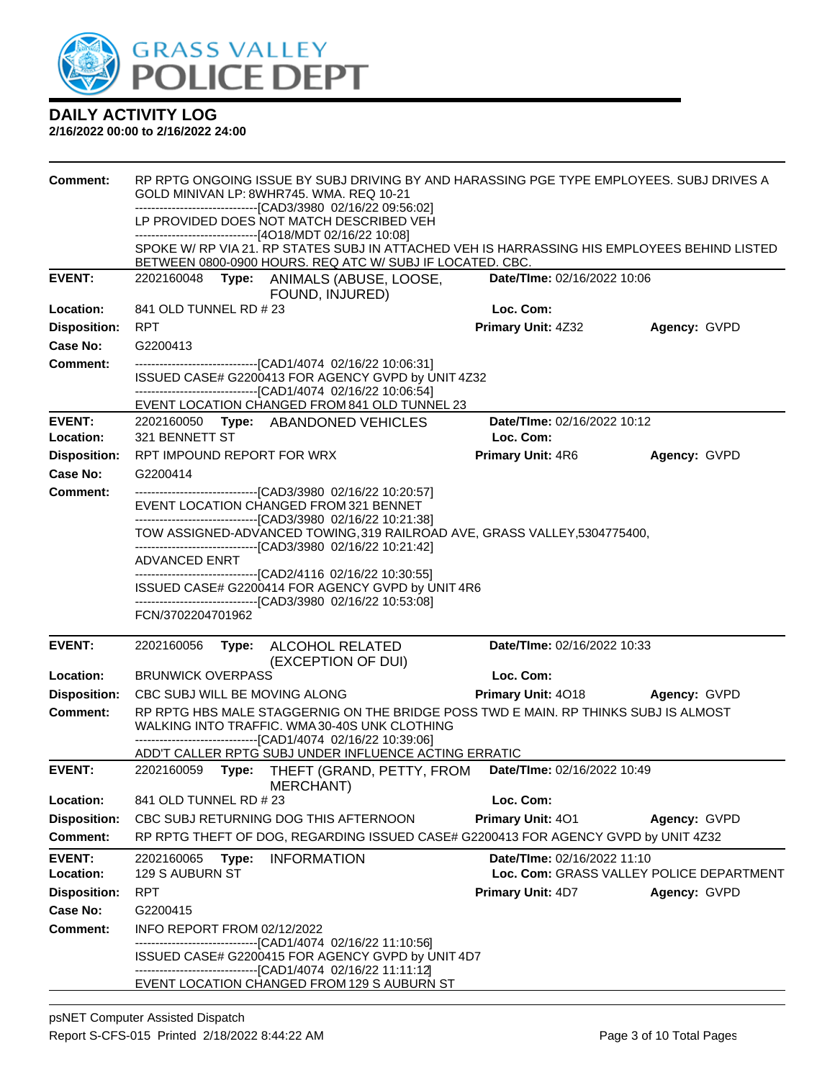

| <b>Comment:</b>                  | RP RPTG ONGOING ISSUE BY SUBJ DRIVING BY AND HARASSING PGE TYPE EMPLOYEES. SUBJ DRIVES A<br>GOLD MINIVAN LP: 8WHR745, WMA, REQ 10-21<br>--------------------------------[CAD3/3980 02/16/22 09:56:02]<br>LP PROVIDED DOES NOT MATCH DESCRIBED VEH |                             |                                                          |  |  |  |
|----------------------------------|---------------------------------------------------------------------------------------------------------------------------------------------------------------------------------------------------------------------------------------------------|-----------------------------|----------------------------------------------------------|--|--|--|
|                                  | -------------------------------[4O18/MDT 02/16/22 10:08]<br>SPOKE W/RP VIA 21. RP STATES SUBJ IN ATTACHED VEH IS HARRASSING HIS EMPLOYEES BEHIND LISTED                                                                                           |                             |                                                          |  |  |  |
|                                  | BETWEEN 0800-0900 HOURS. REQ ATC W/ SUBJ IF LOCATED. CBC.                                                                                                                                                                                         |                             |                                                          |  |  |  |
| <b>EVENT:</b>                    | 2202160048<br>Date/TIme: 02/16/2022 10:06<br>Type: ANIMALS (ABUSE, LOOSE,<br>FOUND, INJURED)                                                                                                                                                      |                             |                                                          |  |  |  |
| Location:                        | 841 OLD TUNNEL RD # 23                                                                                                                                                                                                                            | Loc. Com:                   |                                                          |  |  |  |
| <b>Disposition:</b>              | <b>RPT</b>                                                                                                                                                                                                                                        | Primary Unit: 4Z32          | Agency: GVPD                                             |  |  |  |
| Case No:                         | G2200413                                                                                                                                                                                                                                          |                             |                                                          |  |  |  |
| <b>Comment:</b>                  | --------------------------------[CAD1/4074 02/16/22 10:06:31]<br>ISSUED CASE# G2200413 FOR AGENCY GVPD by UNIT 4Z32<br>------------------------------[CAD1/4074 02/16/22 10:06:54]                                                                |                             |                                                          |  |  |  |
| <b>EVENT:</b>                    | EVENT LOCATION CHANGED FROM 841 OLD TUNNEL 23<br>2202160050 Type: ABANDONED VEHICLES                                                                                                                                                              | Date/TIme: 02/16/2022 10:12 |                                                          |  |  |  |
| Location:                        | 321 BENNETT ST                                                                                                                                                                                                                                    | Loc. Com:                   |                                                          |  |  |  |
| <b>Disposition:</b>              | RPT IMPOUND REPORT FOR WRX                                                                                                                                                                                                                        | <b>Primary Unit: 4R6</b>    | Agency: GVPD                                             |  |  |  |
| Case No:                         | G2200414                                                                                                                                                                                                                                          |                             |                                                          |  |  |  |
| <b>Comment:</b>                  | -------------------------------[CAD3/3980 02/16/22 10:20:57]                                                                                                                                                                                      |                             |                                                          |  |  |  |
|                                  | EVENT LOCATION CHANGED FROM 321 BENNET<br>--------------------------------[CAD3/3980 02/16/22 10:21:38]                                                                                                                                           |                             |                                                          |  |  |  |
|                                  | TOW ASSIGNED-ADVANCED TOWING, 319 RAILROAD AVE, GRASS VALLEY, 5304775400,                                                                                                                                                                         |                             |                                                          |  |  |  |
|                                  | -------------------------------[CAD3/3980 02/16/22 10:21:42]<br><b>ADVANCED ENRT</b>                                                                                                                                                              |                             |                                                          |  |  |  |
|                                  | -------------------------------[CAD2/4116 02/16/22 10:30:55]                                                                                                                                                                                      |                             |                                                          |  |  |  |
|                                  | ISSUED CASE# G2200414 FOR AGENCY GVPD by UNIT 4R6<br>--------------------------------[CAD3/3980 02/16/22 10:53:08]                                                                                                                                |                             |                                                          |  |  |  |
|                                  | FCN/3702204701962                                                                                                                                                                                                                                 |                             |                                                          |  |  |  |
| <b>EVENT:</b>                    | 2202160056<br>ALCOHOL RELATED<br>Type:<br>(EXCEPTION OF DUI)                                                                                                                                                                                      | Date/TIme: 02/16/2022 10:33 |                                                          |  |  |  |
| Location:                        | <b>BRUNWICK OVERPASS</b>                                                                                                                                                                                                                          | Loc. Com:                   |                                                          |  |  |  |
| <b>Disposition:</b>              | CBC SUBJ WILL BE MOVING ALONG                                                                                                                                                                                                                     | <b>Primary Unit: 4018</b>   | Agency: GVPD                                             |  |  |  |
| <b>Comment:</b>                  | RP RPTG HBS MALE STAGGERNIG ON THE BRIDGE POSS TWD E MAIN. RP THINKS SUBJ IS ALMOST<br>WALKING INTO TRAFFIC. WMA 30-40S UNK CLOTHING<br>-------------------------------[CAD1/4074 02/16/22 10:39:06]                                              |                             |                                                          |  |  |  |
|                                  | ADD'T CALLER RPTG SUBJ UNDER INFLUENCE ACTING ERRATIC                                                                                                                                                                                             |                             |                                                          |  |  |  |
| <b>EVENT:</b>                    | 2202160059<br>Type: THEFT (GRAND, PETTY, FROM<br>MERCHANT)                                                                                                                                                                                        | Date/TIme: 02/16/2022 10:49 |                                                          |  |  |  |
| Location:                        | 841 OLD TUNNEL RD # 23                                                                                                                                                                                                                            | Loc. Com:                   |                                                          |  |  |  |
| <b>Disposition:</b>              | CBC SUBJ RETURNING DOG THIS AFTERNOON                                                                                                                                                                                                             | Primary Unit: 401           | Agency: GVPD                                             |  |  |  |
| <b>Comment:</b>                  | RP RPTG THEFT OF DOG, REGARDING ISSUED CASE# G2200413 FOR AGENCY GVPD by UNIT 4Z32                                                                                                                                                                |                             |                                                          |  |  |  |
| <b>EVENT:</b>                    | 2202160065<br>Type:<br><b>INFORMATION</b>                                                                                                                                                                                                         | Date/TIme: 02/16/2022 11:10 |                                                          |  |  |  |
| Location:<br><b>Disposition:</b> | 129 S AUBURN ST<br><b>RPT</b>                                                                                                                                                                                                                     | <b>Primary Unit: 4D7</b>    | Loc. Com: GRASS VALLEY POLICE DEPARTMENT<br>Agency: GVPD |  |  |  |
| <b>Case No:</b>                  | G2200415                                                                                                                                                                                                                                          |                             |                                                          |  |  |  |
| <b>Comment:</b>                  | INFO REPORT FROM 02/12/2022                                                                                                                                                                                                                       |                             |                                                          |  |  |  |
|                                  | -------------------------------[CAD1/4074 02/16/22 11:10:56]                                                                                                                                                                                      |                             |                                                          |  |  |  |
|                                  | ISSUED CASE# G2200415 FOR AGENCY GVPD by UNIT 4D7<br>-------------------------------[CAD1/4074 02/16/22 11:11:12]                                                                                                                                 |                             |                                                          |  |  |  |
|                                  | EVENT LOCATION CHANGED FROM 129 S AUBURN ST                                                                                                                                                                                                       |                             |                                                          |  |  |  |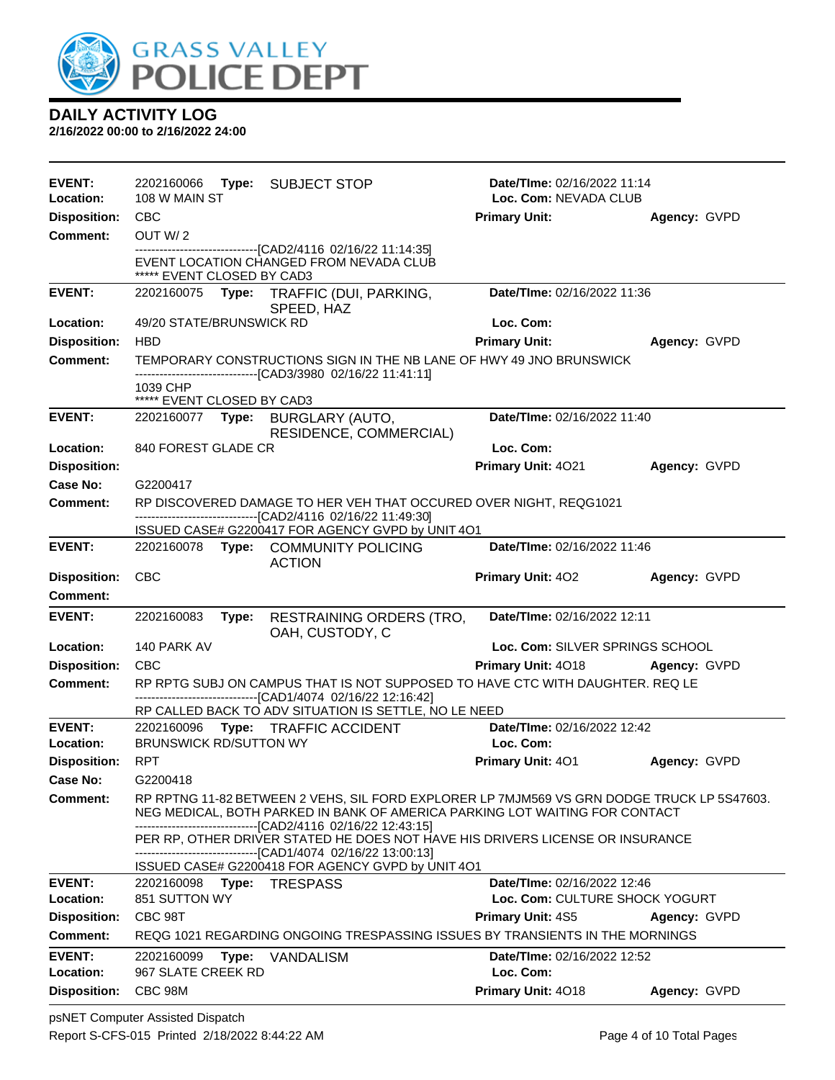

| <b>EVENT:</b><br>Location:       | 2202160066<br>108 W MAIN ST                 |       | Type: SUBJECT STOP                                                                                                                                                                                            | Date/TIme: 02/16/2022 11:14<br>Loc. Com: NEVADA CLUB |              |
|----------------------------------|---------------------------------------------|-------|---------------------------------------------------------------------------------------------------------------------------------------------------------------------------------------------------------------|------------------------------------------------------|--------------|
| <b>Disposition:</b>              | <b>CBC</b>                                  |       |                                                                                                                                                                                                               | <b>Primary Unit:</b>                                 | Agency: GVPD |
| <b>Comment:</b>                  | OUT W/2                                     |       |                                                                                                                                                                                                               |                                                      |              |
|                                  | ***** EVENT CLOSED BY CAD3                  |       | --------------------------------[CAD2/4116 02/16/22 11:14:35]<br>EVENT LOCATION CHANGED FROM NEVADA CLUB                                                                                                      |                                                      |              |
| <b>EVENT:</b>                    |                                             |       | 2202160075 Type: TRAFFIC (DUI, PARKING,<br>SPEED, HAZ                                                                                                                                                         | Date/TIme: 02/16/2022 11:36                          |              |
| Location:                        | 49/20 STATE/BRUNSWICK RD                    |       |                                                                                                                                                                                                               | Loc. Com:                                            |              |
| <b>Disposition:</b>              | <b>HBD</b>                                  |       |                                                                                                                                                                                                               | <b>Primary Unit:</b>                                 | Agency: GVPD |
| <b>Comment:</b>                  |                                             |       | TEMPORARY CONSTRUCTIONS SIGN IN THE NB LANE OF HWY 49 JNO BRUNSWICK                                                                                                                                           |                                                      |              |
|                                  | 1039 CHP<br>***** EVENT CLOSED BY CAD3      |       | -------------------------------[CAD3/3980 02/16/22 11:41:11]                                                                                                                                                  |                                                      |              |
| <b>EVENT:</b>                    |                                             |       |                                                                                                                                                                                                               | Date/TIme: 02/16/2022 11:40                          |              |
| Location:                        | 840 FOREST GLADE CR                         |       | RESIDENCE, COMMERCIAL)                                                                                                                                                                                        | Loc. Com:                                            |              |
| <b>Disposition:</b>              |                                             |       |                                                                                                                                                                                                               | Primary Unit: 4021                                   | Agency: GVPD |
| Case No:                         | G2200417                                    |       |                                                                                                                                                                                                               |                                                      |              |
| <b>Comment:</b>                  |                                             |       | RP DISCOVERED DAMAGE TO HER VEH THAT OCCURED OVER NIGHT, REQG1021                                                                                                                                             |                                                      |              |
|                                  |                                             |       | --------------------------------[CAD2/4116 02/16/22 11:49:30]<br>ISSUED CASE# G2200417 FOR AGENCY GVPD by UNIT 4O1                                                                                            |                                                      |              |
| <b>EVENT:</b>                    |                                             |       | 2202160078 Type: COMMUNITY POLICING<br><b>ACTION</b>                                                                                                                                                          | Date/TIme: 02/16/2022 11:46                          |              |
| <b>Disposition:</b>              | <b>CBC</b>                                  |       |                                                                                                                                                                                                               | <b>Primary Unit: 402</b>                             | Agency: GVPD |
| <b>Comment:</b>                  |                                             |       |                                                                                                                                                                                                               |                                                      |              |
| <b>EVENT:</b>                    | 2202160083                                  | Type: | <b>RESTRAINING ORDERS (TRO,</b><br>OAH, CUSTODY, C                                                                                                                                                            | Date/TIme: 02/16/2022 12:11                          |              |
| Location:                        | 140 PARK AV                                 |       |                                                                                                                                                                                                               | Loc. Com: SILVER SPRINGS SCHOOL                      |              |
| <b>Disposition:</b>              | <b>CBC</b>                                  |       |                                                                                                                                                                                                               | Primary Unit: 4018                                   | Agency: GVPD |
| Comment:                         |                                             |       | RP RPTG SUBJ ON CAMPUS THAT IS NOT SUPPOSED TO HAVE CTC WITH DAUGHTER. REQ LE<br>-------------------------[CAD1/4074_02/16/22 12:16:42]                                                                       |                                                      |              |
| <b>EVENT:</b>                    |                                             |       | RP CALLED BACK TO ADV SITUATION IS SETTLE, NO LE NEED<br>2202160096 Type: TRAFFIC ACCIDENT                                                                                                                    |                                                      |              |
| Location:                        |                                             |       |                                                                                                                                                                                                               |                                                      |              |
|                                  |                                             |       |                                                                                                                                                                                                               | Date/TIme: 02/16/2022 12:42<br>Loc. Com:             |              |
|                                  | <b>BRUNSWICK RD/SUTTON WY</b><br><b>RPT</b> |       |                                                                                                                                                                                                               |                                                      |              |
| <b>Disposition:</b><br>Case No:  | G2200418                                    |       |                                                                                                                                                                                                               | <b>Primary Unit: 401</b>                             | Agency: GVPD |
| Comment:                         |                                             |       | RP RPTNG 11-82 BETWEEN 2 VEHS, SIL FORD EXPLORER LP 7MJM569 VS GRN DODGE TRUCK LP 5S47603.<br>NEG MEDICAL, BOTH PARKED IN BANK OF AMERICA PARKING LOT WAITING FOR CONTACT                                     |                                                      |              |
|                                  |                                             |       | -------------------------------[CAD2/4116 02/16/22 12:43:15]<br>PER RP, OTHER DRIVER STATED HE DOES NOT HAVE HIS DRIVERS LICENSE OR INSURANCE<br>-------------------------------[CAD1/4074 02/16/22 13:00:13] |                                                      |              |
| <b>EVENT:</b>                    | 2202160098                                  | Type: | ISSUED CASE# G2200418 FOR AGENCY GVPD by UNIT 4O1<br><b>TRESPASS</b>                                                                                                                                          | Date/TIme: 02/16/2022 12:46                          |              |
| Location:                        | 851 SUTTON WY                               |       |                                                                                                                                                                                                               | Loc. Com: CULTURE SHOCK YOGURT                       |              |
| <b>Disposition:</b><br>Comment:  | CBC 98T                                     |       | REQG 1021 REGARDING ONGOING TRESPASSING ISSUES BY TRANSIENTS IN THE MORNINGS                                                                                                                                  | <b>Primary Unit: 4S5</b>                             | Agency: GVPD |
| <b>EVENT:</b>                    | 2202160099                                  | Type: | <b>VANDALISM</b>                                                                                                                                                                                              | Date/TIme: 02/16/2022 12:52                          |              |
| Location:<br><b>Disposition:</b> | 967 SLATE CREEK RD<br>CBC 98M               |       |                                                                                                                                                                                                               | Loc. Com:<br>Primary Unit: 4018                      | Agency: GVPD |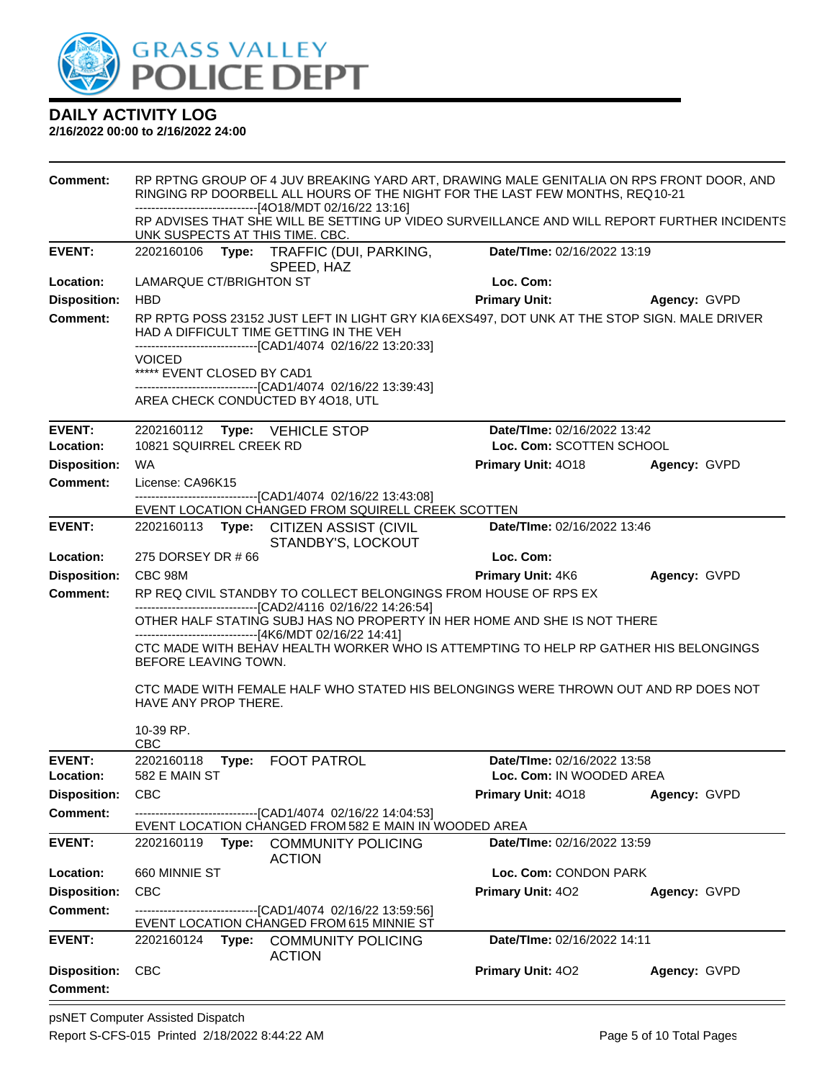

| <b>Comment:</b>                                                                                                                                                                                                                                                                                                                                                                                          | RP RPTNG GROUP OF 4 JUV BREAKING YARD ART, DRAWING MALE GENITALIA ON RPS FRONT DOOR, AND<br>RINGING RP DOORBELL ALL HOURS OF THE NIGHT FOR THE LAST FEW MONTHS, REQ10-21<br>------------------------------[4O18/MDT 02/16/22 13:16] |       |                                                                                                                                                                                                        |                             |              |
|----------------------------------------------------------------------------------------------------------------------------------------------------------------------------------------------------------------------------------------------------------------------------------------------------------------------------------------------------------------------------------------------------------|-------------------------------------------------------------------------------------------------------------------------------------------------------------------------------------------------------------------------------------|-------|--------------------------------------------------------------------------------------------------------------------------------------------------------------------------------------------------------|-----------------------------|--------------|
|                                                                                                                                                                                                                                                                                                                                                                                                          | UNK SUSPECTS AT THIS TIME. CBC.                                                                                                                                                                                                     |       | RP ADVISES THAT SHE WILL BE SETTING UP VIDEO SURVEILLANCE AND WILL REPORT FURTHER INCIDENTS                                                                                                            |                             |              |
| <b>EVENT:</b>                                                                                                                                                                                                                                                                                                                                                                                            |                                                                                                                                                                                                                                     |       | 2202160106 Type: TRAFFIC (DUI, PARKING,<br>SPEED, HAZ                                                                                                                                                  | Date/TIme: 02/16/2022 13:19 |              |
| Location:                                                                                                                                                                                                                                                                                                                                                                                                | LAMARQUE CT/BRIGHTON ST                                                                                                                                                                                                             |       |                                                                                                                                                                                                        | Loc. Com:                   |              |
| <b>Disposition:</b>                                                                                                                                                                                                                                                                                                                                                                                      | <b>HBD</b>                                                                                                                                                                                                                          |       |                                                                                                                                                                                                        | <b>Primary Unit:</b>        | Agency: GVPD |
| <b>Comment:</b>                                                                                                                                                                                                                                                                                                                                                                                          | <b>VOICED</b>                                                                                                                                                                                                                       |       | RP RPTG POSS 23152 JUST LEFT IN LIGHT GRY KIA6EXS497, DOT UNK AT THE STOP SIGN. MALE DRIVER<br>HAD A DIFFICULT TIME GETTING IN THE VEH<br>-------------------------------[CAD1/4074 02/16/22 13:20:33] |                             |              |
|                                                                                                                                                                                                                                                                                                                                                                                                          | ***** EVENT CLOSED BY CAD1                                                                                                                                                                                                          |       | -------------------------------[CAD1/4074 02/16/22 13:39:43]<br>AREA CHECK CONDUCTED BY 4018, UTL                                                                                                      |                             |              |
| <b>EVENT:</b><br>Location:                                                                                                                                                                                                                                                                                                                                                                               |                                                                                                                                                                                                                                     |       | 2202160112 Type: VEHICLE STOP                                                                                                                                                                          | Date/TIme: 02/16/2022 13:42 |              |
|                                                                                                                                                                                                                                                                                                                                                                                                          | 10821 SQUIRREL CREEK RD<br><b>WA</b>                                                                                                                                                                                                |       |                                                                                                                                                                                                        | Loc. Com: SCOTTEN SCHOOL    |              |
| <b>Disposition:</b><br><b>Comment:</b>                                                                                                                                                                                                                                                                                                                                                                   | License: CA96K15                                                                                                                                                                                                                    |       |                                                                                                                                                                                                        | Primary Unit: 4018          | Agency: GVPD |
|                                                                                                                                                                                                                                                                                                                                                                                                          |                                                                                                                                                                                                                                     |       | -------------------------------[CAD1/4074 02/16/22 13:43:08]                                                                                                                                           |                             |              |
| <b>EVENT:</b>                                                                                                                                                                                                                                                                                                                                                                                            |                                                                                                                                                                                                                                     |       | EVENT LOCATION CHANGED FROM SQUIRELL CREEK SCOTTEN<br>2202160113 Type: CITIZEN ASSIST (CIVIL                                                                                                           | Date/TIme: 02/16/2022 13:46 |              |
|                                                                                                                                                                                                                                                                                                                                                                                                          |                                                                                                                                                                                                                                     |       | STANDBY'S, LOCKOUT                                                                                                                                                                                     |                             |              |
| Location:                                                                                                                                                                                                                                                                                                                                                                                                | 275 DORSEY DR #66                                                                                                                                                                                                                   |       |                                                                                                                                                                                                        | Loc. Com:                   |              |
| <b>Disposition:</b>                                                                                                                                                                                                                                                                                                                                                                                      | CBC 98M                                                                                                                                                                                                                             |       |                                                                                                                                                                                                        | Primary Unit: 4K6           | Agency: GVPD |
| <b>Comment:</b><br>RP REQ CIVIL STANDBY TO COLLECT BELONGINGS FROM HOUSE OF RPS EX<br>-------------------------------[CAD2/4116 02/16/22 14:26:54]<br>OTHER HALF STATING SUBJ HAS NO PROPERTY IN HER HOME AND SHE IS NOT THERE<br>------------------------------[4K6/MDT 02/16/22 14:41]<br>CTC MADE WITH BEHAV HEALTH WORKER WHO IS ATTEMPTING TO HELP RP GATHER HIS BELONGINGS<br>BEFORE LEAVING TOWN. |                                                                                                                                                                                                                                     |       |                                                                                                                                                                                                        |                             |              |
|                                                                                                                                                                                                                                                                                                                                                                                                          | HAVE ANY PROP THERE.<br>10-39 RP.<br><b>CBC</b>                                                                                                                                                                                     |       | CTC MADE WITH FEMALE HALF WHO STATED HIS BELONGINGS WERE THROWN OUT AND RP DOES NOT                                                                                                                    |                             |              |
| <b>EVENT:</b>                                                                                                                                                                                                                                                                                                                                                                                            | 2202160118                                                                                                                                                                                                                          | Type: | <b>FOOT PATROL</b>                                                                                                                                                                                     | Date/TIme: 02/16/2022 13:58 |              |
| Location:                                                                                                                                                                                                                                                                                                                                                                                                | 582 E MAIN ST                                                                                                                                                                                                                       |       |                                                                                                                                                                                                        | Loc. Com: IN WOODED AREA    |              |
| <b>Disposition:</b>                                                                                                                                                                                                                                                                                                                                                                                      | <b>CBC</b>                                                                                                                                                                                                                          |       |                                                                                                                                                                                                        | Primary Unit: 4018          | Agency: GVPD |
| <b>Comment:</b>                                                                                                                                                                                                                                                                                                                                                                                          |                                                                                                                                                                                                                                     |       | -------------------------------[CAD1/4074 02/16/22 14:04:53]<br>EVENT LOCATION CHANGED FROM 582 E MAIN IN WOODED AREA                                                                                  |                             |              |
| <b>EVENT:</b>                                                                                                                                                                                                                                                                                                                                                                                            |                                                                                                                                                                                                                                     |       | 2202160119 Type: COMMUNITY POLICING<br><b>ACTION</b>                                                                                                                                                   | Date/TIme: 02/16/2022 13:59 |              |
| Location:                                                                                                                                                                                                                                                                                                                                                                                                | 660 MINNIE ST                                                                                                                                                                                                                       |       |                                                                                                                                                                                                        | Loc. Com: CONDON PARK       |              |
| <b>Disposition:</b>                                                                                                                                                                                                                                                                                                                                                                                      | <b>CBC</b>                                                                                                                                                                                                                          |       |                                                                                                                                                                                                        | Primary Unit: 402           | Agency: GVPD |
| <b>Comment:</b>                                                                                                                                                                                                                                                                                                                                                                                          |                                                                                                                                                                                                                                     |       | -------------------------------[CAD1/4074 02/16/22 13:59:56]<br>EVENT LOCATION CHANGED FROM 615 MINNIE ST                                                                                              |                             |              |
| <b>EVENT:</b>                                                                                                                                                                                                                                                                                                                                                                                            |                                                                                                                                                                                                                                     |       | 2202160124 Type: COMMUNITY POLICING                                                                                                                                                                    | Date/TIme: 02/16/2022 14:11 |              |
| <b>Disposition:</b><br><b>Comment:</b>                                                                                                                                                                                                                                                                                                                                                                   | <b>CBC</b>                                                                                                                                                                                                                          |       | <b>ACTION</b>                                                                                                                                                                                          | Primary Unit: 402           | Agency: GVPD |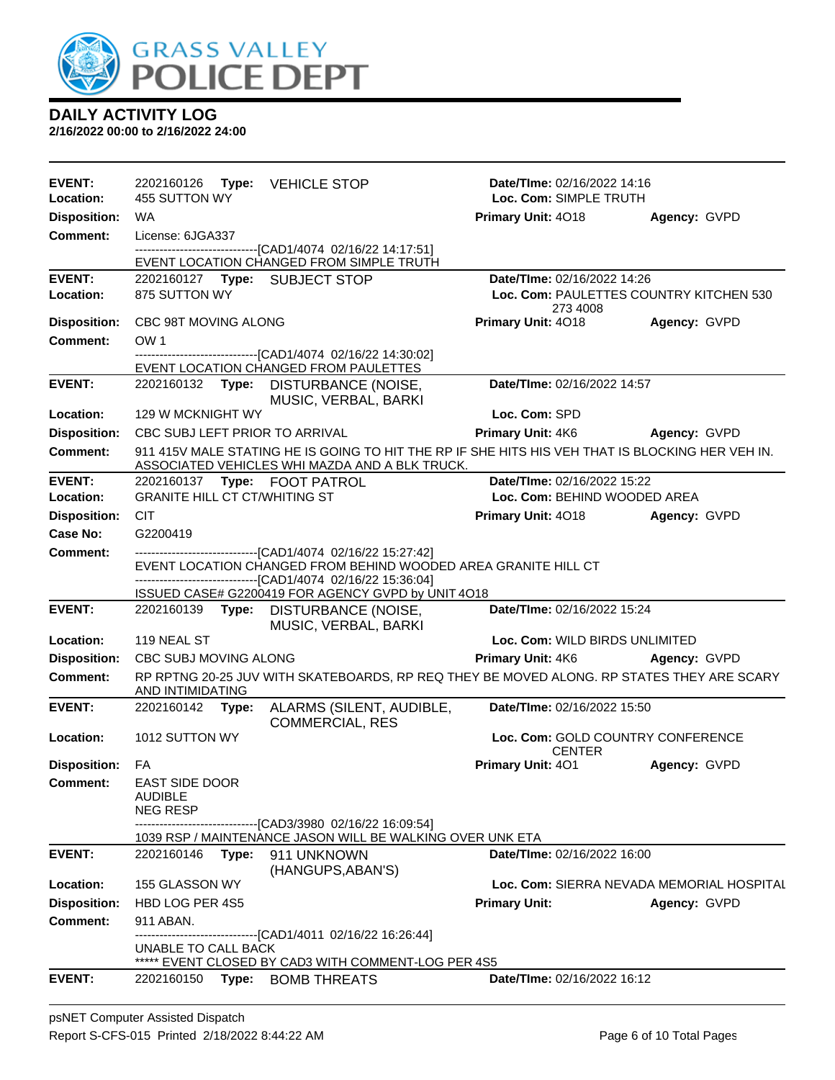

| <b>EVENT:</b>          | 2202160126                           | Type: VEHICLE STOP                                                                                                                                 | <b>Date/Time: 02/16/2022 14:16</b>                 |                                           |
|------------------------|--------------------------------------|----------------------------------------------------------------------------------------------------------------------------------------------------|----------------------------------------------------|-------------------------------------------|
| Location:              | 455 SUTTON WY                        |                                                                                                                                                    | Loc. Com: SIMPLE TRUTH                             |                                           |
| <b>Disposition:</b>    | WA                                   |                                                                                                                                                    | Primary Unit: 4018                                 | Agency: GVPD                              |
| <b>Comment:</b>        | License: 6JGA337                     | -------------------------------[CAD1/4074 02/16/22 14:17:51]                                                                                       |                                                    |                                           |
|                        |                                      | EVENT LOCATION CHANGED FROM SIMPLE TRUTH                                                                                                           |                                                    |                                           |
| <b>EVENT:</b>          | 2202160127 Type: SUBJECT STOP        |                                                                                                                                                    | Date/TIme: 02/16/2022 14:26                        |                                           |
| Location:              | 875 SUTTON WY                        |                                                                                                                                                    |                                                    | Loc. Com: PAULETTES COUNTRY KITCHEN 530   |
| <b>Disposition:</b>    | CBC 98T MOVING ALONG                 |                                                                                                                                                    | 273 4008<br>Primary Unit: 4018                     | Agency: GVPD                              |
| <b>Comment:</b>        | OW <sub>1</sub>                      |                                                                                                                                                    |                                                    |                                           |
|                        |                                      | ---------------------[CAD1/4074 02/16/22 14:30:02]                                                                                                 |                                                    |                                           |
|                        |                                      | EVENT LOCATION CHANGED FROM PAULETTES                                                                                                              |                                                    |                                           |
| <b>EVENT:</b>          |                                      | 2202160132 Type: DISTURBANCE (NOISE,<br>MUSIC, VERBAL, BARKI                                                                                       | Date/TIme: 02/16/2022 14:57                        |                                           |
| Location:              | 129 W MCKNIGHT WY                    |                                                                                                                                                    | Loc. Com: SPD                                      |                                           |
| <b>Disposition:</b>    | CBC SUBJ LEFT PRIOR TO ARRIVAL       |                                                                                                                                                    | <b>Primary Unit: 4K6</b>                           | <b>Agency: GVPD</b>                       |
| Comment:               |                                      | 911 415V MALE STATING HE IS GOING TO HIT THE RP IF SHE HITS HIS VEH THAT IS BLOCKING HER VEH IN.<br>ASSOCIATED VEHICLES WHI MAZDA AND A BLK TRUCK. |                                                    |                                           |
| <b>EVENT:</b>          | 2202160137 Type: FOOT PATROL         |                                                                                                                                                    | Date/TIme: 02/16/2022 15:22                        |                                           |
| Location:              | <b>GRANITE HILL CT CT/WHITING ST</b> |                                                                                                                                                    | Loc. Com: BEHIND WOODED AREA                       |                                           |
| <b>Disposition:</b>    | <b>CIT</b>                           |                                                                                                                                                    | Primary Unit: 4018                                 | <b>Agency: GVPD</b>                       |
| <b>Case No:</b>        | G2200419                             |                                                                                                                                                    |                                                    |                                           |
| <b>Comment:</b>        |                                      | -----------------------[CAD1/4074_02/16/22_15:27:42]<br>EVENT LOCATION CHANGED FROM BEHIND WOODED AREA GRANITE HILL CT                             |                                                    |                                           |
|                        |                                      | -------------------------------[CAD1/4074 02/16/22 15:36:04]                                                                                       |                                                    |                                           |
| <b>EVENT:</b>          |                                      | ISSUED CASE# G2200419 FOR AGENCY GVPD by UNIT 4O18<br>2202160139 Type: DISTURBANCE (NOISE,                                                         | Date/TIme: 02/16/2022 15:24                        |                                           |
|                        |                                      | MUSIC, VERBAL, BARKI                                                                                                                               |                                                    |                                           |
| Location:              | 119 NEAL ST                          |                                                                                                                                                    | Loc. Com: WILD BIRDS UNLIMITED                     |                                           |
| <b>Disposition:</b>    | CBC SUBJ MOVING ALONG                |                                                                                                                                                    | Primary Unit: 4K6 Agency: GVPD                     |                                           |
| <b>Comment:</b>        | AND INTIMIDATING                     | RP RPTNG 20-25 JUV WITH SKATEBOARDS, RP REQ THEY BE MOVED ALONG. RP STATES THEY ARE SCARY                                                          |                                                    |                                           |
| <b>EVENT:</b>          | 2202160142<br>Type:                  | ALARMS (SILENT, AUDIBLE,<br><b>COMMERCIAL, RES</b>                                                                                                 | Date/TIme: 02/16/2022 15:50                        |                                           |
| Location:              |                                      |                                                                                                                                                    |                                                    |                                           |
|                        |                                      |                                                                                                                                                    |                                                    |                                           |
|                        | 1012 SUTTON WY                       |                                                                                                                                                    | Loc. Com: GOLD COUNTRY CONFERENCE<br><b>CENTER</b> |                                           |
| <b>Disposition: FA</b> |                                      |                                                                                                                                                    | <b>Primary Unit: 401</b>                           | Agency: GVPD                              |
| <b>Comment:</b>        | <b>EAST SIDE DOOR</b><br>AUDIBLE     |                                                                                                                                                    |                                                    |                                           |
|                        | <b>NEG RESP</b>                      | -------------------------------[CAD3/3980 02/16/22 16:09:54]                                                                                       |                                                    |                                           |
|                        |                                      | 1039 RSP / MAINTENANCE JASON WILL BE WALKING OVER UNK ETA                                                                                          |                                                    |                                           |
| <b>EVENT:</b>          | 2202160146<br>Type:                  | 911 UNKNOWN                                                                                                                                        | Date/TIme: 02/16/2022 16:00                        |                                           |
| Location:              | 155 GLASSON WY                       | (HANGUPS, ABAN'S)                                                                                                                                  |                                                    | Loc. Com: SIERRA NEVADA MEMORIAL HOSPITAL |
| <b>Disposition:</b>    | HBD LOG PER 4S5                      |                                                                                                                                                    | <b>Primary Unit:</b>                               | Agency: GVPD                              |
| <b>Comment:</b>        | 911 ABAN.                            |                                                                                                                                                    |                                                    |                                           |
|                        |                                      | ------------------[CAD1/4011 02/16/22 16:26:44]                                                                                                    |                                                    |                                           |
|                        | UNABLE TO CALL BACK                  | ***** EVENT CLOSED BY CAD3 WITH COMMENT-LOG PER 4S5                                                                                                |                                                    |                                           |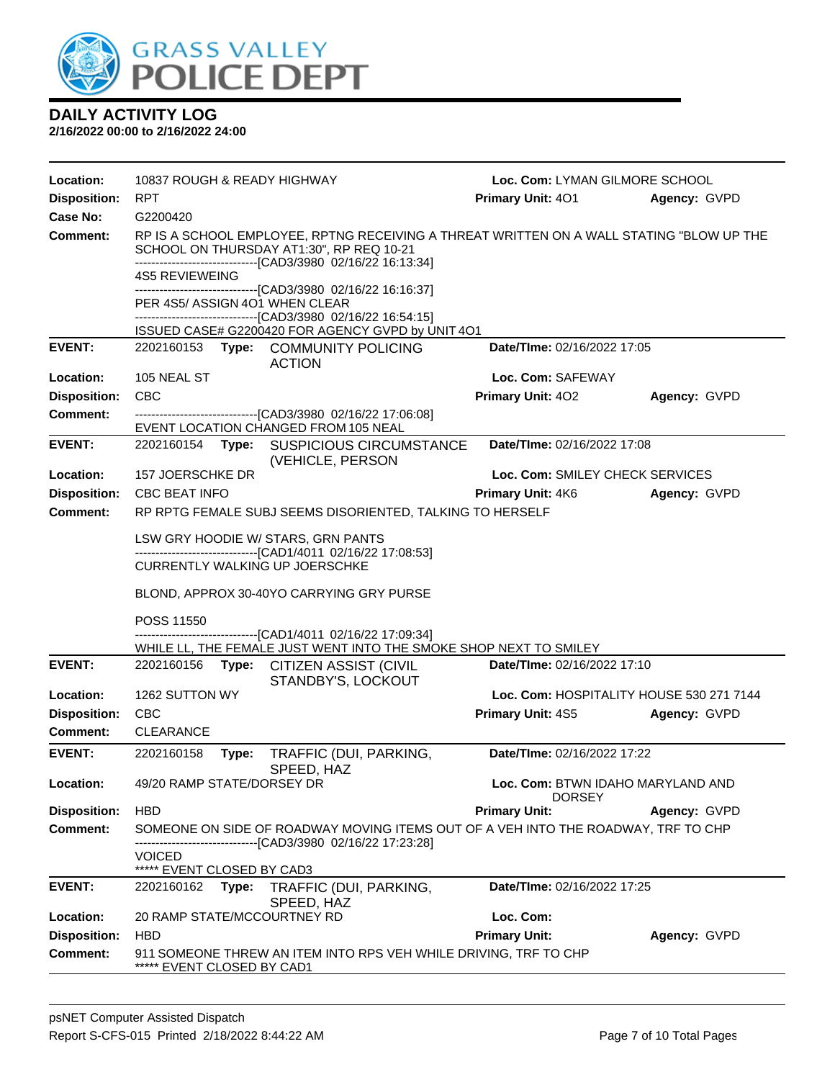

| Location:           | 10837 ROUGH & READY HIGHWAY                                                                                                                                                                                                                                                                  | Loc. Com: LYMAN GILMORE SCHOOL                     |              |  |  |  |  |
|---------------------|----------------------------------------------------------------------------------------------------------------------------------------------------------------------------------------------------------------------------------------------------------------------------------------------|----------------------------------------------------|--------------|--|--|--|--|
| <b>Disposition:</b> | <b>RPT</b>                                                                                                                                                                                                                                                                                   | Primary Unit: 401                                  | Agency: GVPD |  |  |  |  |
| Case No:            | G2200420                                                                                                                                                                                                                                                                                     |                                                    |              |  |  |  |  |
| <b>Comment:</b>     | RP IS A SCHOOL EMPLOYEE, RPTNG RECEIVING A THREAT WRITTEN ON A WALL STATING "BLOW UP THE<br>SCHOOL ON THURSDAY AT1:30", RP REQ 10-21<br>------------------------------[CAD3/3980 02/16/22 16:13:34]<br><b>4S5 REVIEWEING</b><br>-------------------------------[CAD3/3980 02/16/22 16:16:37] |                                                    |              |  |  |  |  |
|                     | PER 4S5/ ASSIGN 4O1 WHEN CLEAR<br>-------------------------------[CAD3/3980_02/16/22 16:54:15]                                                                                                                                                                                               |                                                    |              |  |  |  |  |
|                     | ISSUED CASE# G2200420 FOR AGENCY GVPD by UNIT 4O1                                                                                                                                                                                                                                            |                                                    |              |  |  |  |  |
| <b>EVENT:</b>       | 2202160153 Type: COMMUNITY POLICING<br><b>ACTION</b>                                                                                                                                                                                                                                         | Date/TIme: 02/16/2022 17:05                        |              |  |  |  |  |
| Location:           | 105 NEAL ST                                                                                                                                                                                                                                                                                  | Loc. Com: SAFEWAY                                  |              |  |  |  |  |
| <b>Disposition:</b> | <b>CBC</b>                                                                                                                                                                                                                                                                                   | Primary Unit: 402                                  | Agency: GVPD |  |  |  |  |
| <b>Comment:</b>     | --------------------------------[CAD3/3980 02/16/22 17:06:08]<br>EVENT LOCATION CHANGED FROM 105 NEAL                                                                                                                                                                                        |                                                    |              |  |  |  |  |
| <b>EVENT:</b>       | 2202160154<br>Type:<br><b>SUSPICIOUS CIRCUMSTANCE</b><br>(VEHICLE, PERSON                                                                                                                                                                                                                    | Date/TIme: 02/16/2022 17:08                        |              |  |  |  |  |
| Location:           | 157 JOERSCHKE DR                                                                                                                                                                                                                                                                             | Loc. Com: SMILEY CHECK SERVICES                    |              |  |  |  |  |
| <b>Disposition:</b> | <b>CBC BEAT INFO</b>                                                                                                                                                                                                                                                                         | <b>Primary Unit: 4K6</b>                           | Agency: GVPD |  |  |  |  |
| Comment:            | RP RPTG FEMALE SUBJ SEEMS DISORIENTED, TALKING TO HERSELF                                                                                                                                                                                                                                    |                                                    |              |  |  |  |  |
|                     | LSW GRY HOODIE W/ STARS, GRN PANTS<br>----------------------------[CAD1/4011_02/16/22_17:08:53]                                                                                                                                                                                              |                                                    |              |  |  |  |  |
|                     | <b>CURRENTLY WALKING UP JOERSCHKE</b>                                                                                                                                                                                                                                                        |                                                    |              |  |  |  |  |
|                     | BLOND, APPROX 30-40YO CARRYING GRY PURSE                                                                                                                                                                                                                                                     |                                                    |              |  |  |  |  |
|                     | POSS 11550                                                                                                                                                                                                                                                                                   |                                                    |              |  |  |  |  |
|                     | -----------------[CAD1/4011_02/16/22 17:09:34]<br>WHILE LL, THE FEMALE JUST WENT INTO THE SMOKE SHOP NEXT TO SMILEY                                                                                                                                                                          |                                                    |              |  |  |  |  |
| <b>EVENT:</b>       | 2202160156<br>Type: CITIZEN ASSIST (CIVIL<br>STANDBY'S, LOCKOUT                                                                                                                                                                                                                              | Date/TIme: 02/16/2022 17:10                        |              |  |  |  |  |
| Location:           | 1262 SUTTON WY                                                                                                                                                                                                                                                                               | Loc. Com: HOSPITALITY HOUSE 530 271 7144           |              |  |  |  |  |
| <b>Disposition:</b> | <b>CBC</b>                                                                                                                                                                                                                                                                                   | <b>Primary Unit: 4S5</b>                           | Agency: GVPD |  |  |  |  |
| Comment:            | <b>CLEARANCE</b>                                                                                                                                                                                                                                                                             |                                                    |              |  |  |  |  |
| <b>EVENT:</b>       | 2202160158<br>Type:<br>TRAFFIC (DUI, PARKING,<br>SPEED, HAZ                                                                                                                                                                                                                                  | Date/TIme: 02/16/2022 17:22                        |              |  |  |  |  |
| Location:           | 49/20 RAMP STATE/DORSEY DR                                                                                                                                                                                                                                                                   | Loc. Com: BTWN IDAHO MARYLAND AND<br><b>DORSEY</b> |              |  |  |  |  |
| <b>Disposition:</b> | <b>HBD</b>                                                                                                                                                                                                                                                                                   | <b>Primary Unit:</b>                               | Agency: GVPD |  |  |  |  |
| <b>Comment:</b>     | SOMEONE ON SIDE OF ROADWAY MOVING ITEMS OUT OF A VEH INTO THE ROADWAY, TRF TO CHP<br>------------------------[CAD3/3980_02/16/22 17:23:28]                                                                                                                                                   |                                                    |              |  |  |  |  |
|                     | <b>VOICED</b><br>EVENT CLOSED BY CAD3                                                                                                                                                                                                                                                        |                                                    |              |  |  |  |  |
| <b>EVENT:</b>       | 2202160162<br>Type:<br>TRAFFIC (DUI, PARKING,                                                                                                                                                                                                                                                | Date/TIme: 02/16/2022 17:25                        |              |  |  |  |  |
| Location:           | SPEED, HAZ<br>20 RAMP STATE/MCCOURTNEY RD                                                                                                                                                                                                                                                    | Loc. Com:                                          |              |  |  |  |  |
| <b>Disposition:</b> | <b>HBD</b>                                                                                                                                                                                                                                                                                   | <b>Primary Unit:</b>                               | Agency: GVPD |  |  |  |  |
| <b>Comment:</b>     | 911 SOMEONE THREW AN ITEM INTO RPS VEH WHILE DRIVING, TRF TO CHP<br>***** EVENT CLOSED BY CAD1                                                                                                                                                                                               |                                                    |              |  |  |  |  |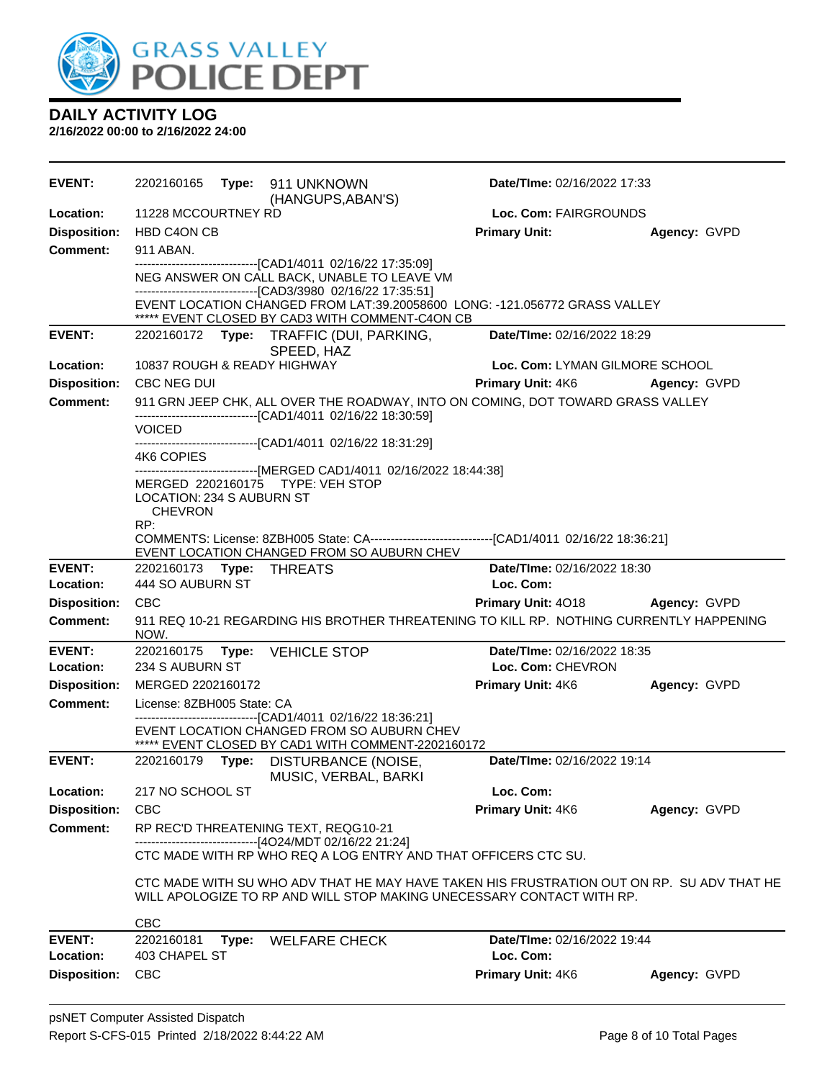

| EVENT:              | 2202160165<br>Type: 911 UNKNOWN<br>(HANGUPS, ABAN'S)                                                                                            | Date/TIme: 02/16/2022 17:33    |                     |
|---------------------|-------------------------------------------------------------------------------------------------------------------------------------------------|--------------------------------|---------------------|
| Location:           | 11228 MCCOURTNEY RD                                                                                                                             | Loc. Com: FAIRGROUNDS          |                     |
| <b>Disposition:</b> | HBD C4ON CB                                                                                                                                     | <b>Primary Unit:</b>           | Agency: GVPD        |
| <b>Comment:</b>     | 911 ABAN.                                                                                                                                       |                                |                     |
|                     | -------------------------------[CAD1/4011 02/16/22 17:35:09]<br>NEG ANSWER ON CALL BACK, UNABLE TO LEAVE VM                                     |                                |                     |
|                     | -------------------------------[CAD3/3980 02/16/22 17:35:51]                                                                                    |                                |                     |
|                     | EVENT LOCATION CHANGED FROM LAT:39.20058600 LONG: -121.056772 GRASS VALLEY<br>***** EVENT CLOSED BY CAD3 WITH COMMENT-C4ON CB                   |                                |                     |
| <b>EVENT:</b>       | 2202160172 Type: TRAFFIC (DUI, PARKING,                                                                                                         | Date/TIme: 02/16/2022 18:29    |                     |
|                     | SPEED, HAZ                                                                                                                                      |                                |                     |
| Location:           | 10837 ROUGH & READY HIGHWAY                                                                                                                     | Loc. Com: LYMAN GILMORE SCHOOL |                     |
| <b>Disposition:</b> | CBC NEG DUI                                                                                                                                     | <b>Primary Unit: 4K6</b>       | Agency: GVPD        |
| <b>Comment:</b>     | 911 GRN JEEP CHK, ALL OVER THE ROADWAY, INTO ON COMING, DOT TOWARD GRASS VALLEY<br>-------------------------------[CAD1/4011 02/16/22 18:30:59] |                                |                     |
|                     | VOICED                                                                                                                                          |                                |                     |
|                     | -------------------------------[CAD1/4011 02/16/22 18:31:29]<br>4K6 COPIES                                                                      |                                |                     |
|                     | ------------------------------[MERGED CAD1/4011 02/16/2022 18:44:38]                                                                            |                                |                     |
|                     | MERGED 2202160175 TYPE: VEH STOP<br>LOCATION: 234 S AUBURN ST                                                                                   |                                |                     |
|                     | <b>CHEVRON</b>                                                                                                                                  |                                |                     |
|                     | RP:<br>COMMENTS: License: 8ZBH005 State: CA---------------------------------[CAD1/4011 02/16/22 18:36:21]                                       |                                |                     |
|                     | EVENT LOCATION CHANGED FROM SO AUBURN CHEV                                                                                                      |                                |                     |
| <b>EVENT:</b>       | 2202160173 Type:<br>THREATS                                                                                                                     | Date/TIme: 02/16/2022 18:30    |                     |
| Location:           | 444 SO AUBURN ST                                                                                                                                | Loc. Com:                      |                     |
| <b>Disposition:</b> | <b>CBC</b>                                                                                                                                      | Primary Unit: 4018             | <b>Agency: GVPD</b> |
| <b>Comment:</b>     | 911 REQ 10-21 REGARDING HIS BROTHER THREATENING TO KILL RP. NOTHING CURRENTLY HAPPENING<br>NOW.                                                 |                                |                     |
| <b>EVENT:</b>       | 2202160175 Type: VEHICLE STOP                                                                                                                   | Date/TIme: 02/16/2022 18:35    |                     |
| Location:           | 234 S AUBURN ST                                                                                                                                 | Loc. Com: CHEVRON              |                     |
| <b>Disposition:</b> | MERGED 2202160172                                                                                                                               | Primary Unit: 4K6              | Agency: GVPD        |
| <b>Comment:</b>     | License: 8ZBH005 State: CA                                                                                                                      |                                |                     |
|                     | -------------------------------[CAD1/4011 02/16/22 18:36:21]<br>EVENT LOCATION CHANGED FROM SO AUBURN CHEV                                      |                                |                     |
|                     | ***** EVENT CLOSED BY CAD1 WITH COMMENT-2202160172                                                                                              |                                |                     |
| <b>EVENT:</b>       | 2202160179 Type: DISTURBANCE (NOISE,<br>MUSIC, VERBAL, BARKI                                                                                    | Date/TIme: 02/16/2022 19:14    |                     |
| Location:           | 217 NO SCHOOL ST                                                                                                                                | Loc. Com:                      |                     |
| <b>Disposition:</b> | <b>CBC</b>                                                                                                                                      | Primary Unit: 4K6              | Agency: GVPD        |
| Comment:            | RP REC'D THREATENING TEXT, REQG10-21                                                                                                            |                                |                     |
|                     | ------------------------------[4O24/MDT 02/16/22 21:24]<br>CTC MADE WITH RP WHO REQ A LOG ENTRY AND THAT OFFICERS CTC SU.                       |                                |                     |
|                     | CTC MADE WITH SU WHO ADV THAT HE MAY HAVE TAKEN HIS FRUSTRATION OUT ON RP. SU ADV THAT HE                                                       |                                |                     |
|                     | WILL APOLOGIZE TO RP AND WILL STOP MAKING UNECESSARY CONTACT WITH RP.                                                                           |                                |                     |
|                     | <b>CBC</b>                                                                                                                                      |                                |                     |
| <b>EVENT:</b>       | 2202160181<br>Type: WELFARE CHECK                                                                                                               | Date/TIme: 02/16/2022 19:44    |                     |
| Location:           | 403 CHAPEL ST                                                                                                                                   | Loc. Com:                      |                     |
| <b>Disposition:</b> | <b>CBC</b>                                                                                                                                      | Primary Unit: 4K6              | Agency: GVPD        |
|                     |                                                                                                                                                 |                                |                     |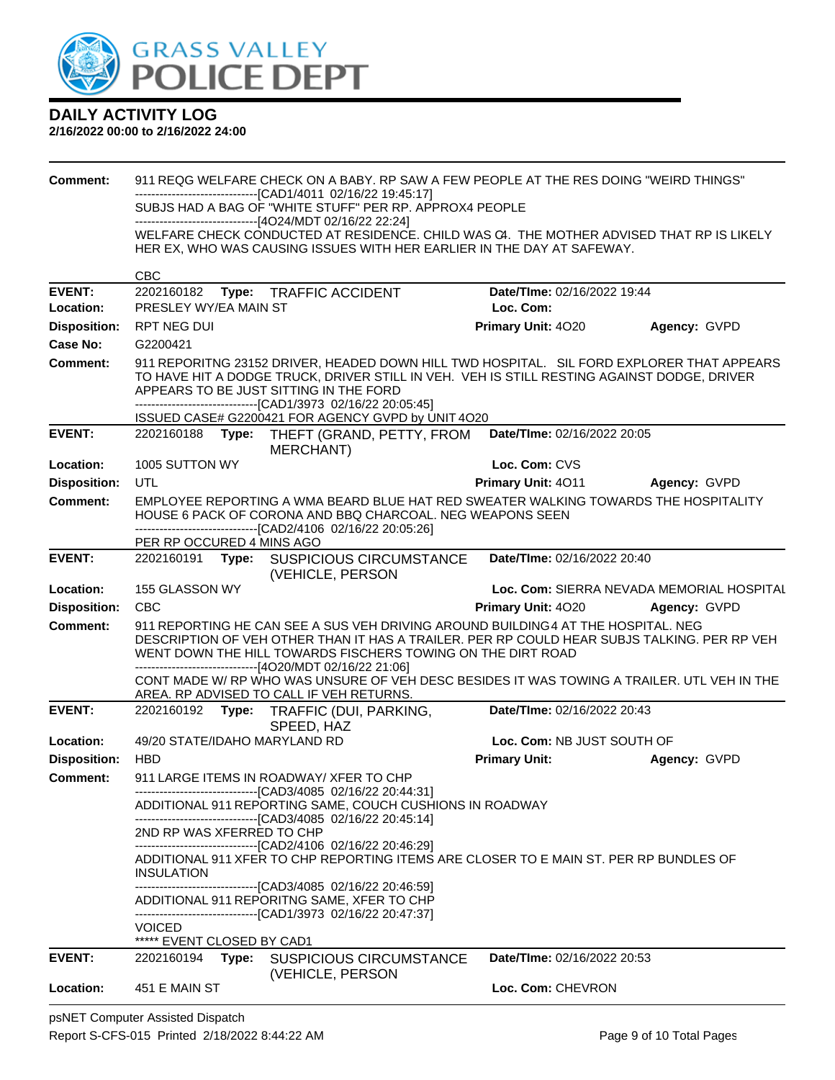

#### **2/16/2022 00:00 to 2/16/2022 24:00**

| <b>Comment:</b>     |                                                                                                                                                                                                                                   |       | 911 REQG WELFARE CHECK ON A BABY. RP SAW A FEW PEOPLE AT THE RES DOING "WEIRD THINGS"                                                                                                                                                                                                                      |                                    |                                           |
|---------------------|-----------------------------------------------------------------------------------------------------------------------------------------------------------------------------------------------------------------------------------|-------|------------------------------------------------------------------------------------------------------------------------------------------------------------------------------------------------------------------------------------------------------------------------------------------------------------|------------------------------------|-------------------------------------------|
|                     |                                                                                                                                                                                                                                   |       | ------------------------------[CAD1/4011 02/16/22 19:45:17]<br>SUBJS HAD A BAG OF "WHITE STUFF" PER RP. APPROX4 PEOPLE                                                                                                                                                                                     |                                    |                                           |
|                     |                                                                                                                                                                                                                                   |       | -------------------------------[4O24/MDT 02/16/22 22:24]                                                                                                                                                                                                                                                   |                                    |                                           |
|                     |                                                                                                                                                                                                                                   |       | WELFARE CHECK CONDUCTED AT RESIDENCE. CHILD WAS C4. THE MOTHER ADVISED THAT RP IS LIKELY<br>HER EX, WHO WAS CAUSING ISSUES WITH HER EARLIER IN THE DAY AT SAFEWAY.                                                                                                                                         |                                    |                                           |
|                     | <b>CBC</b>                                                                                                                                                                                                                        |       |                                                                                                                                                                                                                                                                                                            |                                    |                                           |
| <b>EVENT:</b>       | 2202160182                                                                                                                                                                                                                        | Type: | <b>TRAFFIC ACCIDENT</b>                                                                                                                                                                                                                                                                                    | Date/TIme: 02/16/2022 19:44        |                                           |
| Location:           | PRESLEY WY/EA MAIN ST                                                                                                                                                                                                             |       |                                                                                                                                                                                                                                                                                                            | Loc. Com:                          |                                           |
| <b>Disposition:</b> | RPT NEG DUI                                                                                                                                                                                                                       |       |                                                                                                                                                                                                                                                                                                            | Primary Unit: 4020                 | Agency: GVPD                              |
| <b>Case No:</b>     | G2200421                                                                                                                                                                                                                          |       |                                                                                                                                                                                                                                                                                                            |                                    |                                           |
| Comment:            | 911 REPORITNG 23152 DRIVER, HEADED DOWN HILL TWD HOSPITAL. SIL FORD EXPLORER THAT APPEARS<br>TO HAVE HIT A DODGE TRUCK, DRIVER STILL IN VEH. VEH IS STILL RESTING AGAINST DODGE, DRIVER<br>APPEARS TO BE JUST SITTING IN THE FORD |       |                                                                                                                                                                                                                                                                                                            |                                    |                                           |
|                     |                                                                                                                                                                                                                                   |       | -------------------------------[CAD1/3973 02/16/22 20:05:45]<br>ISSUED CASE# G2200421 FOR AGENCY GVPD by UNIT 4O20                                                                                                                                                                                         |                                    |                                           |
| <b>EVENT:</b>       |                                                                                                                                                                                                                                   |       | 2202160188 Type: THEFT (GRAND, PETTY, FROM<br><b>MERCHANT</b> )                                                                                                                                                                                                                                            | Date/TIme: 02/16/2022 20:05        |                                           |
| Location:           | 1005 SUTTON WY                                                                                                                                                                                                                    |       |                                                                                                                                                                                                                                                                                                            | Loc. Com: CVS                      |                                           |
| <b>Disposition:</b> | UTL                                                                                                                                                                                                                               |       |                                                                                                                                                                                                                                                                                                            | <b>Primary Unit: 4011</b>          | Agency: GVPD                              |
| <b>Comment:</b>     |                                                                                                                                                                                                                                   |       | EMPLOYEE REPORTING A WMA BEARD BLUE HAT RED SWEATER WALKING TOWARDS THE HOSPITALITY<br>HOUSE 6 PACK OF CORONA AND BBQ CHARCOAL. NEG WEAPONS SEEN<br>-------------------------------[CAD2/4106 02/16/22 20:05:26]                                                                                           |                                    |                                           |
|                     | PER RP OCCURED 4 MINS AGO                                                                                                                                                                                                         |       |                                                                                                                                                                                                                                                                                                            |                                    |                                           |
| <b>EVENT:</b>       | 2202160191 Type:                                                                                                                                                                                                                  |       | SUSPICIOUS CIRCUMSTANCE<br>(VEHICLE, PERSON                                                                                                                                                                                                                                                                | Date/TIme: 02/16/2022 20:40        |                                           |
| Location:           | 155 GLASSON WY                                                                                                                                                                                                                    |       |                                                                                                                                                                                                                                                                                                            |                                    | Loc. Com: SIERRA NEVADA MEMORIAL HOSPITAL |
| <b>Disposition:</b> | <b>CBC</b>                                                                                                                                                                                                                        |       |                                                                                                                                                                                                                                                                                                            | Primary Unit: 4020                 | Agency: GVPD                              |
| <b>Comment:</b>     |                                                                                                                                                                                                                                   |       | 911 REPORTING HE CAN SEE A SUS VEH DRIVING AROUND BUILDING 4 AT THE HOSPITAL. NEG<br>DESCRIPTION OF VEH OTHER THAN IT HAS A TRAILER. PER RP COULD HEAR SUBJS TALKING. PER RP VEH<br>WENT DOWN THE HILL TOWARDS FISCHERS TOWING ON THE DIRT ROAD<br>------------------------------[4O20/MDT 02/16/22 21:06] |                                    |                                           |
|                     |                                                                                                                                                                                                                                   |       | CONT MADE W/ RP WHO WAS UNSURE OF VEH DESC BESIDES IT WAS TOWING A TRAILER. UTL VEH IN THE<br>AREA. RP ADVISED TO CALL IF VEH RETURNS.                                                                                                                                                                     |                                    |                                           |
| <b>EVENT:</b>       |                                                                                                                                                                                                                                   |       | 2202160192 Type: TRAFFIC (DUI, PARKING,<br>SPEED, HAZ                                                                                                                                                                                                                                                      | Date/TIme: 02/16/2022 20:43        |                                           |
| Location:           |                                                                                                                                                                                                                                   |       | 49/20 STATE/IDAHO MARYLAND RD                                                                                                                                                                                                                                                                              | Loc. Com: NB JUST SOUTH OF         |                                           |
| <b>Disposition:</b> | <b>HBD</b>                                                                                                                                                                                                                        |       |                                                                                                                                                                                                                                                                                                            | <b>Primary Unit:</b>               | Agency: GVPD                              |
| <b>Comment:</b>     |                                                                                                                                                                                                                                   |       | 911 LARGE ITEMS IN ROADWAY/ XFER TO CHP                                                                                                                                                                                                                                                                    |                                    |                                           |
|                     |                                                                                                                                                                                                                                   |       | -------------------------------[CAD3/4085 02/16/22 20:44:31]<br>ADDITIONAL 911 REPORTING SAME, COUCH CUSHIONS IN ROADWAY                                                                                                                                                                                   |                                    |                                           |
|                     | 2ND RP WAS XFERRED TO CHP                                                                                                                                                                                                         |       | -------------------------------[CAD3/4085 02/16/22 20:45:14]<br>-------------------------------[CAD2/4106 02/16/22 20:46:29]                                                                                                                                                                               |                                    |                                           |
|                     | <b>INSULATION</b>                                                                                                                                                                                                                 |       | ADDITIONAL 911 XFER TO CHP REPORTING ITEMS ARE CLOSER TO E MAIN ST. PER RP BUNDLES OF                                                                                                                                                                                                                      |                                    |                                           |
|                     |                                                                                                                                                                                                                                   |       | ----------------------------[CAD3/4085 02/16/22 20:46:59]<br>ADDITIONAL 911 REPORITNG SAME, XFER TO CHP<br>-------------------------------[CAD1/3973 02/16/22 20:47:37]                                                                                                                                    |                                    |                                           |
|                     | <b>VOICED</b><br>***** EVENT CLOSED BY CAD1                                                                                                                                                                                       |       |                                                                                                                                                                                                                                                                                                            |                                    |                                           |
| <b>EVENT:</b>       | 2202160194                                                                                                                                                                                                                        |       | Type: SUSPICIOUS CIRCUMSTANCE                                                                                                                                                                                                                                                                              | <b>Date/Time: 02/16/2022 20:53</b> |                                           |
| Location:           | 451 E MAIN ST                                                                                                                                                                                                                     |       | (VEHICLE, PERSON                                                                                                                                                                                                                                                                                           | Loc. Com: CHEVRON                  |                                           |

psNET Computer Assisted Dispatch Report S-CFS-015 Printed 2/18/2022 8:44:22 AM Page 9 of 10 Total Pages